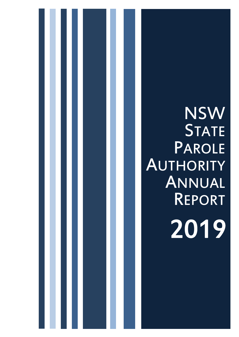# NSW **STATE** PAROLE **AUTHORITY** ANNUAL REPORT 2019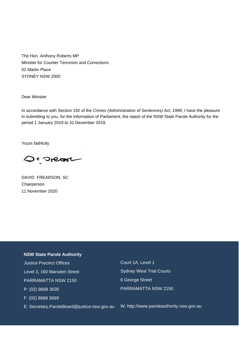The Hon. Anthony Roberts MP Minister for Counter Terrorism and Corrections 52 Martin Place SYDNEY NSW 2000

Dear Minister

In accordance with Section 192 of the *Crimes (Administration of Sentences) Act, 1999*, I have the pleasure in submitting to you, for the information of Parliament, the report of the NSW State Parole Authority for the period 1 January 2019 to 31 December 2019.

Yours faithfully

Desnear

DAVID FREARSON, SC **Chairperson** 11 November 2020

#### **NSW State Parole Authority**

 Justice Precinct Offices Level 3, 160 Marsden Street PARRAMATTA NSW 2150 P: (02) 8688 3635 F: (02) 8688 3699 E: Secretary.ParoleBoard@justice.nsw.gov.au Court 1A, Level 1 Sydney West Trial Courts 6 George Street PARRAMATTA NSW 2150

W: http://www.paroleauthority.nsw.gov.au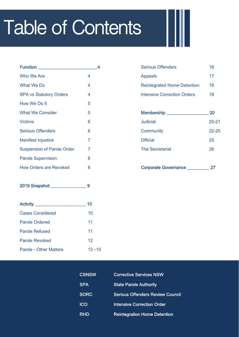# Table of Contents

| <b>Function</b>                   |   |  |
|-----------------------------------|---|--|
| <b>Who We Are</b>                 | 4 |  |
| What We Do                        | 4 |  |
| <b>SPA vs Statutory Orders</b>    | 4 |  |
| How We Do It                      | 5 |  |
| <b>What We Consider</b>           | 5 |  |
| <b>Victims</b>                    | 6 |  |
| <b>Serious Offenders</b>          | 6 |  |
| <b>Manifest Injustice</b>         | 7 |  |
| <b>Suspension of Parole Order</b> | 7 |  |
| <b>Parole Supervision</b>         | 8 |  |
| <b>How Orders are Revoked</b>     | 8 |  |

2019 Snapshot \_\_\_\_\_\_\_\_\_\_\_\_\_\_\_\_ 9

| Activity ___            | 10        |
|-------------------------|-----------|
| <b>Cases Considered</b> | 10        |
| Parole Ordered          | 11        |
| <b>Parole Refused</b>   | 11        |
| Parole Revoked          | 12        |
| Parole - Other Matters  | $13 - 15$ |

| <b>Serious Offenders</b>           | 16 |
|------------------------------------|----|
| <b>Appeals</b>                     | 17 |
| <b>Reintegrated Home Detention</b> | 18 |
| <b>Intensive Correction Orders</b> | 19 |

| Membership __               | 20        |
|-----------------------------|-----------|
| Judicial                    | $20 - 21$ |
| Community                   | $22 - 25$ |
| Official                    | 25        |
| <b>The Secretariat</b>      | 26        |
|                             |           |
| <b>Corporate Governance</b> | 27        |

| <b>CSNSW</b> | <b>Corrective Services NSW</b>          |
|--------------|-----------------------------------------|
| <b>SPA</b>   | <b>State Parole Authority</b>           |
| <b>SORC</b>  | <b>Serious Offenders Review Council</b> |
| <b>ICO</b>   | <b>Intensive Correction Order</b>       |
| <b>RHD</b>   | <b>Reintegration Home Detention</b>     |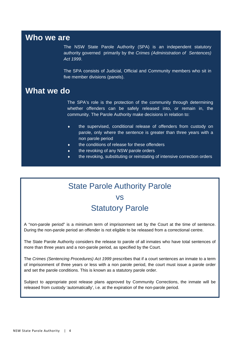## **Who we are**

The NSW State Parole Authority (SPA) is an independent statutory authority governed primarily by the *Crimes (Administration of Sentences) Act 1999*.

The SPA consists of Judicial, Official and Community members who sit in five member divisions (panels).

### **What we do**

The SPA's role is the protection of the community through determining whether offenders can be safely released into, or remain in, the community. The Parole Authority make decisions in relation to:

- the supervised, conditional release of offenders from custody on parole, only where the sentence is greater than three years with a non parole period
- the conditions of release for these offenders
- $\bullet$  the revoking of any NSW parole orders
- the revoking, substituting or reinstating of intensive correction orders

## State Parole Authority Parole vs **Statutory Parole**

A "non-parole period" is a minimum term of imprisonment set by the Court at the time of sentence. During the non-parole period an offender is not eligible to be released from a correctional centre.

The State Parole Authority considers the release to parole of all inmates who have total sentences of more than three years and a non-parole period, as specified by the Court.

The *Crimes (Sentencing Procedures) Act 1999* prescribes that if a court sentences an inmate to a term of imprisonment of three years or less with a non parole period, the court must issue a parole order and set the parole conditions. This is known as a statutory parole order.

Subject to appropriate post release plans approved by Community Corrections, the inmate will be released from custody 'automatically', i.e. at the expiration of the non-parole period.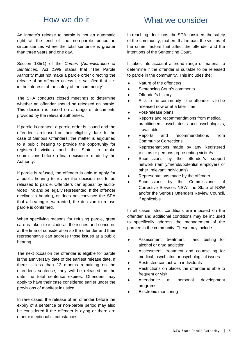### How we do it

An inmate's release to parole is not an automatic right at the end of the non-parole period in circumstances where the total sentence is greater than three years and one day.

Section 135(1) of the *Crimes (Administration of Sentences) Act 1999* states that "The Parole Authority must not make a parole order directing the release of an offender unless it is satisfied that it is in the interests of the safety of the community".

The SPA conducts closed meetings to determine whether an offender should be released on parole. This decision is based on a range of documents provided by the relevant authorities.

If parole is granted, a parole order is issued and the offender is released on their eligibility date. In the case of Serious Offenders, the matter is adjourned to a public hearing to provide the opportunity for registered victims and the State to make submissions before a final decision is made by the Authority.

If parole is refused, the offender is able to apply for a public hearing to review the decision not to be released to parole. Offenders can appear by audiovideo link and be legally represented. If the offender declines a hearing, or does not convince the SPA that a hearing is warranted, the decision to refuse parole is confirmed.

When specifying reasons for refusing parole, great care is taken to include all the issues and concerns at the time of consideration so the offender and their representative can address those issues at a public hearing.

The next occasion the offender is eligible for parole is the anniversary date of the earliest release date. If there is less than 12 months remaining on the offender's sentence, they will be released on the date the total sentence expires. Offenders may apply to have their case considered earlier under the provisions of manifest injustice.

In rare cases, the release of an offender before the expiry of a sentence or non-parole period may also be considered if the offender is dying or there are other exceptional circumstances.

## What we consider

In reaching decisions, the SPA considers the safety of the community, matters that impact the victims of the crime, factors that affect the offender and the intentions of the Sentencing Court.

It takes into account a broad range of material to determine if the offender is suitable to be released to parole in the community. This includes the:

- ◆ Nature of the offence/s
- Sentencing Court's comments
- ◆ Offender's history
- Risk to the community if the offender is to be released now or at a later time
- Post-release plans
- ◆ Reports and recommendations from medical practitioners, psychiatrists and psychologists, if available
- Reports and recommendations from Community Corrections
- Representations made by any Registered Victims or persons representing victim/s
- Submissions by the offender's support network (family/friends/potential employers or other relevant individuals)
- Representations made by the offender
- Submissions by the Commissioner of Corrective Services NSW, the State of NSW and/or the Serious Offenders Review Council, if applicable

In all cases, strict conditions are imposed on the offender and additional conditions may be included to specifically address the management of the parolee in the community. These may include:

- Assessment, treatment and testing for alcohol or drug addiction
- Assessment, treatment and counselling for medical, psychiatric or psychological issues
- Restricted contact with individuals
- Restrictions on places the offender is able to frequent or visit
- Attendance at personal development programs
- Electronic monitoring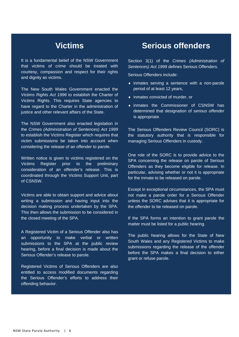## **Victims**

It is a fundamental belief of the NSW Government that victims of crime should be treated with courtesy, compassion and respect for their rights and dignity as victims.

The New South Wales Government enacted the *Victims Rights Act 1996* to establish the Charter of Victims Rights. This requires State agencies to have regard to the Charter in the administration of justice and other relevant affairs of the State.

The NSW Government also enacted legislation in the *Crimes (Administration of Sentences) Act 1999*  to establish the Victims Register which requires that victim submissions be taken into account when considering the release of an offender to parole.

Written notice is given to victims registered on the Victims Register prior to the preliminary consideration of an offender's release. This is coordinated through the Victims Support Unit, part of CSNSW.

Victims are able to obtain support and advice about writing a submission and having input into the decision making process undertaken by the SPA. This then allows the submission to be considered in the closed meeting of the SPA.

A Registered Victim of a Serious Offender also has an opportunity to make verbal or written submissions to the SPA at the public review hearing, before a final decision is made about the Serious Offender's release to parole.

Registered Victims of Serious Offenders are also entitled to access modified documents regarding the Serious Offender's efforts to address their offending behavior.

### **Serious offenders**

Section 3(1) of the *Crimes (Administration of Sentences) Act 1999* defines Serious Offenders.

Serious Offenders include:

- inmates serving a sentence with a non-parole period of at least 12 years,
- inmates convicted of murder, or
- inmates the Commissioner of CSNSW has determined that designation of *serious offender*  is appropriate.

The Serious Offenders Review Council (SORC) is the statutory authority that is responsible for managing Serious Offenders in custody.

One role of the SORC is to provide advice to the SPA concerning the release on parole of Serious Offenders as they become eligible for release. In particular, advising whether or not it is appropriate for the inmate to be released on parole.

Except in exceptional circumstances, the SPA must not make a parole order for a Serious Offender unless the SORC advises that it is appropriate for the offender to be released on parole.

If the SPA forms an intention to grant parole the matter must be listed for a public hearing.

The public hearing allows for the State of New South Wales and any Registered Victims to make submissions regarding the release of the offender before the SPA makes a final decision to either grant or refuse parole.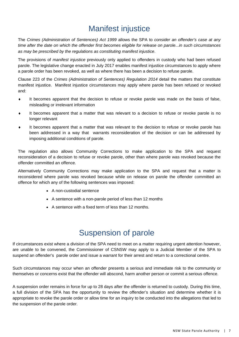## Manifest injustice

The *Crimes (Administration of Sentences) Act 1999* allows the SPA to *consider an offender's case at any time after the date on which the offender first becomes eligible for release on parole...in such circumstances as may be prescribed by the regulations as constituting manifest injustice*.

The provisions of *manifest injustice* previously only applied to offenders in custody who had been refused parole. The legislative change enacted in July 2017 enables manifest injustice circumstances to apply where a parole order has been revoked, as well as where there has been a decision to refuse parole.

Clause 223 of the *Crimes (Administration of Sentences) Regulation 2014* detail the matters that constitute manifest injustice. Manifest injustice circumstances may apply where parole has been refused or revoked and:

- It becomes apparent that the decision to refuse or revoke parole was made on the basis of false, misleading or irrelevant information
- It becomes apparent that a matter that was relevant to a decision to refuse or revoke parole is no longer relevant
- It becomes apparent that a matter that was relevant to the decision to refuse or revoke parole has been addressed in a way that warrants reconsideration of the decision or can be addressed by imposing additional conditions of parole.

The regulation also allows Community Corrections to make application to the SPA and request reconsideration of a decision to refuse or revoke parole, other than where parole was revoked because the offender committed an offence.

Alternatively Community Corrections may make application to the SPA and request that a matter is reconsidered where parole was revoked because while on release on parole the offender committed an offence for which any of the following sentences was imposed:

- A non-custodial sentence
- A sentence with a non-parole period of less than 12 months
- A sentence with a fixed term of less than 12 months.

## Suspension of parole

If circumstances exist where a division of the SPA need to meet on a matter requiring urgent attention however, are unable to be convened, the Commissioner of CSNSW may apply to a Judicial Member of the SPA to suspend an offender's parole order and issue a warrant for their arrest and return to a correctional centre.

Such circumstances may occur when an offender presents a serious and immediate risk to the community or themselves or concerns exist that the offender will abscond, harm another person or commit a serious offence.

A suspension order remains in force for up to 28 days after the offender is returned to custody. During this time, a full division of the SPA has the opportunity to review the offender's situation and determine whether it is appropriate to revoke the parole order or allow time for an inquiry to be conducted into the allegations that led to the suspension of the parole order.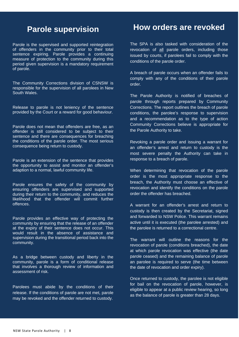### **Parole supervision**

Parole is the supervised and supported reintegration of offenders in the community prior to their total sentence expiring. Parole provides a continuing measure of protection to the community during this period given supervision is a mandatory requirement of parole.

The Community Corrections division of CSNSW is responsible for the supervision of all parolees in New South Wales.

Release to parole is not leniency of the sentence provided by the Court or a reward for good behaviour.

Parole does not mean that offenders are free, as an offender is still considered to be subject to their sentence and there are consequences for breaching the conditions of the parole order. The most serious consequence being return to custody.

Parole is an extension of the sentence that provides the opportunity to assist and monitor an offender's adaption to a normal, lawful community life.

Parole ensures the safety of the community by ensuring offenders are supervised and supported during their return to the community, and reduces the likelihood that the offender will commit further offences.

Parole provides an effective way of protecting the community by ensuring that the release of an offender at the expiry of their sentence does not occur. This would result in the absence of assistance and supervision during the transitional period back into the community.

As a bridge between custody and liberty in the community, parole is a form of conditional release that involves a thorough review of information and assessment of risk.

Parolees must abide by the conditions of their release. If the conditions of parole are not met, parole may be revoked and the offender returned to custody.

### **How orders are revoked**

The SPA is also tasked with consideration of the revocation of all parole orders, including those issued by courts, if parolees fail to comply with the conditions of the parole order.

A breach of parole occurs when an offender fails to comply with any of the conditions of their parole order.

The Parole Authority is notified of breaches of parole through reports prepared by Community Corrections. The report outlines the breach of parole conditions, the parolee's response to supervision and a recommendation as to the type of action Community Corrections believe is appropriate for the Parole Authority to take.

Revoking a parole order and issuing a warrant for an offender's arrest and return to custody is the most severe penalty the Authority can take in response to a breach of parole.

When determining that revocation of the parole order is the most appropriate response to the breach, the Authority must choose an effective of revocation and identify the conditions on the parole order the offender has breached.

A warrant for an offender's arrest and return to custody is then created by the Secretariat, signed and forwarded to NSW Police. This warrant remains active until it is executed (the parolee arrested) and the parolee is returned to a correctional centre.

The warrant will outline the reasons for the revocation of parole (conditions breached), the date at which parole revocation was effective (the date parole ceased) and the remaining balance of parole an parolee is required to serve (the time between the date of revocation and order expiry).

Once returned to custody, the parolee is not eligible for bail on the revocation of parole, however, is eligible to appear at a public review hearing, so long as the balance of parole is greater than 28 days.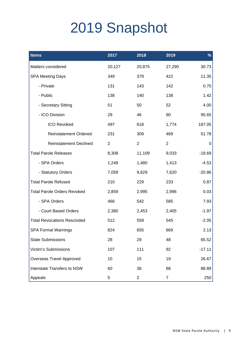# 2019 Snapshot

| <b>Items</b>                       | 2017           | 2018           | 2019           | $\frac{9}{6}$ |
|------------------------------------|----------------|----------------|----------------|---------------|
| Matters considered                 | 20,127         | 20,875         | 27,290         | 30.73         |
| <b>SPA Meeting Days</b>            | 349            | 379            | 422            | 11.35         |
| - Private                          | 131            | 143            | 142            | 0.70          |
| - Public                           | 138            | 140            | 138            | 1.42          |
| - Secretary Sitting                | 51             | 50             | 52             | 4.00          |
| - ICO Division                     | 29             | 46             | 90             | 95.65         |
| <b>ICO Revoked</b>                 | 497            | 618            | 1,774          | 187.05        |
| <b>Reinstatement Ordered</b>       | 231            | 309            | 469            | 51.78         |
| <b>Reinstatement Declined</b>      | $\overline{2}$ | $\overline{2}$ | $\overline{2}$ | 0             |
| <b>Total Parole Releases</b>       | 8,308          | 11,109         | 9,033          | $-18.69$      |
| - SPA Orders                       | 1,249          | 1,480          | 1,413          | $-4.53$       |
| - Statutory Orders                 | 7,059          | 9,629          | 7,620          | $-20.86$      |
| <b>Total Parole Refused</b>        | 210            | 229            | 233            | 0.87          |
| <b>Total Parole Orders Revoked</b> | 2,859          | 2,995          | 2,996          | 0.03          |
| - SPA Orders                       | 466            | 542            | 585            | 7.93          |
| - Court Based Orders               | 2,380          | 2,453          | 2,405          | $-1.97$       |
| <b>Total Revocations Rescinded</b> | 512            | 559            | 545            | $-2.05$       |
| <b>SPA Formal Warnings</b>         | 824            | 655            | 669            | 2.13          |
| <b>State Submissions</b>           | 28             | 29             | 48             | 65.52         |
| <b>Victim's Submissions</b>        | 107            | 111            | 92             | $-17.11$      |
| Overseas Travel Approved           | 10             | 15             | 19             | 26.67         |
| <b>Interstate Transfers to NSW</b> | 60             | 36             | 68             | 88.89         |
| Appeals                            | 5              | $\overline{c}$ | $\overline{7}$ | 250           |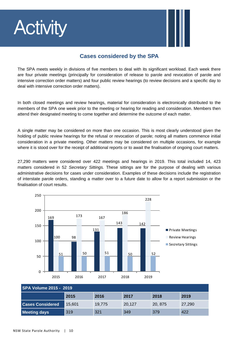# **Activity**



#### **Cases considered by the SPA**

The SPA meets weekly in divisions of five members to deal with its significant workload. Each week there are four private meetings (principally for consideration of release to parole and revocation of parole and intensive correction order matters) and four public review hearings (to review decisions and a specific day to deal with intensive correction order matters).

In both closed meetings and review hearings, material for consideration is electronically distributed to the members of the SPA one week prior to the meeting or hearing for reading and consideration. Members then attend their designated meeting to come together and determine the outcome of each matter.

A single matter may be considered on more than one occasion. This is most clearly understood given the holding of public review hearings for the refusal or revocation of parole; noting all matters commence initial consideration in a private meeting. Other matters may be considered on multiple occasions, for example where it is stood over for the receipt of additional reports or to await the finalisation of ongoing court matters.

27,290 matters were considered over 422 meetings and hearings in 2019. This total included 14, 423 matters considered in 52 *Secretary Sittings.* These sittings are for the purpose of dealing with various administrative decisions for cases under consideration. Examples of these decisions include the registration of interstate parole orders, standing a matter over to a future date to allow for a report submission or the finalisation of court results.



| <b>SPA Volume 2015 - 2019</b>        |        |        |        |         |        |  |
|--------------------------------------|--------|--------|--------|---------|--------|--|
| 2018<br>2017<br>2019<br>2015<br>2016 |        |        |        |         |        |  |
| <b>Cases Considered</b>              | 15.601 | 19.775 | 20,127 | 20, 875 | 27,290 |  |
| <b>Meeting days</b>                  | 319    | 321    | 349    | 379     | 422    |  |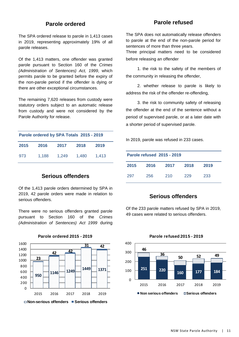#### **Parole ordered**

The SPA ordered release to parole in 1,413 cases in 2019, representing approximately 19% of all parole releases.

Of the 1,413 matters, one offender was granted parole pursuant to Section 160 of the *Crimes (Administration of Sentences) Act, 1999*, which permits parole to be granted before the expiry of the non-parole period if the offender is dying or there are other exceptional circumstances.

The remaining 7,620 releases from custody were statutory orders subject to an automatic release from custody and were not considered by the Parole Authority for release.

| Parole ordered by SPA Totals 2015 - 2019 |       |       |       |       |  |
|------------------------------------------|-------|-------|-------|-------|--|
| 2015                                     | 2016  | 2017  | 2018  | 2019  |  |
| 973                                      | 1,188 | 1.249 | 1.480 | 1.413 |  |

#### **Serious offenders**

Of the 1,413 parole orders determined by SPA in 2019, 42 parole orders were made in relation to serious offenders.

There were no serious offenders granted parole pursuant to Section 160 of the *Crimes (Administration of Sentences) Act 1999* during



**Parole ordered 2015 - 2019**

#### **Parole refused**

The SPA does not automatically release offenders to parole at the end of the non-parole period for sentences of more than three years.

Three principal matters need to be considered before releasing an offender

 1. the risk to the safety of the members of the community in releasing the offender,

 2. whether release to parole is likely to address the risk of the offender re-offending,

 3. the risk to community safety of releasing the offender at the end of the sentence without a period of supervised parole, or at a later date with a shorter period of supervised parole.

In 2019, parole was refused in 233 cases.

| Parole refused 2015 - 2019 |      |      |      |      |  |
|----------------------------|------|------|------|------|--|
| 2015                       | 2016 | 2017 | 2018 | 2019 |  |
| 297                        | 256  | 210  | 229  | 233  |  |

#### **Serious offenders**

Of the 233 parole matters refused by SPA in 2019, 49 cases were related to serious offenders.



#### **Parole refused 2015 - 2019**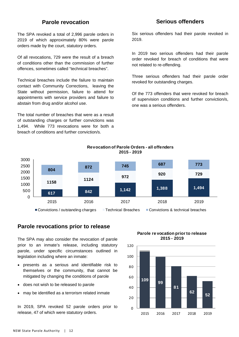#### **Parole revocation**

The SPA revoked a total of 2,996 parole orders in 2019 of which approximately 80% were parole orders made by the court, statutory orders.

Of all revocations, 729 were the result of a breach of conditions other than the commission of further offences, sometimes called "technical breaches".

Technical breaches include the failure to maintain contact with Community Corrections, leaving the State without permission, failure to attend for appointments with service providers and failure to abstain from drug and/or alcohol use.

The total number of breaches that were as a result of outstanding charges or further convictions was 1,494. While 773 revocations were for both a breach of conditions and further conviction/s.

#### **Serious offenders**

Six serious offenders had their parole revoked in 2019.

In 2019 two serious offenders had their parole order revoked for breach of conditions that were not related to re-offending.

Three serious offenders had their parole order revoked for outstanding charges.

Of the 773 offenders that were revoked for breach of supervision conditions and further conviction/s, one was a serious offenders.



#### **Revocation of Parole Orders - all offenders 2015 - 2019**

#### **Parole revocations prior to release**

The SPA may also consider the revocation of parole prior to an inmate's release, including statutory parole, under specific circumstances outlined in legislation including where an inmate:

- presents as a serious and identifiable risk to themselves or the community, that cannot be mitigated by changing the conditions of parole
- does not wish to be released to parole
- may be identified as a terrorism related inmate

In 2019, SPA revoked 52 parole orders prior to release, 47 of which were statutory orders.

**Parole re vocation prior to release 2015 - 2019**

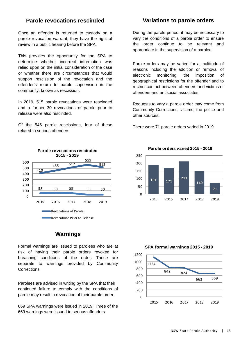#### **Parole revocations rescinded**

Once an offender is returned to custody on a parole revocation warrant, they have the right of review in a public hearing before the SPA.

This provides the opportunity for the SPA to determine whether incorrect information was relied upon on the initial consideration of the case or whether there are circumstances that would support rescission of the revocation and the offender's return to parole supervision in the community, known as rescission.

In 2019, 515 parole revocations were rescinded and a further 30 revocations of parole prior to release were also rescinded.

Of the 545 parole rescissions, four of these related to serious offenders.



#### **Warnings**

Formal warnings are issued to parolees who are at risk of having their parole orders revoked for breaching conditions of the order. These are separate to warnings provided by Community Corrections.

Parolees are advised in writing by the SPA that their continued failure to comply with the conditions of parole may result in revocation of their parole order.

669 SPA warnings were issued in 2019. Three of the 669 warnings were issued to serious offenders.

#### **Variations to parole orders**

During the parole period, it may be necessary to vary the conditions of a parole order to ensure the order continue to be relevant and appropriate in the supervision of a parolee.

Parole orders may be varied for a multitude of reasons including the addition or removal of electronic monitoring, the imposition of geographical restrictions for the offender and to restrict contact between offenders and victims or offenders and antisocial associates.

Requests to vary a parole order may come from Community Corrections, victims, the police and other sources.

There were 71 parole orders varied in 2019.



**Parole orders varied 2015 - 2019**

**SPA formal warnings 2015 - 2019**

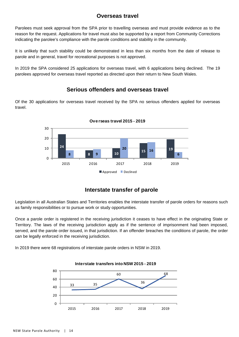#### **Overseas travel**

Parolees must seek approval from the SPA prior to travelling overseas and must provide evidence as to the reason for the request. Applications for travel must also be supported by a report from Community Corrections indicating the parolee's compliance with the parole conditions and stability in the community.

It is unlikely that such stability could be demonstrated in less than six months from the date of release to parole and in general, travel for recreational purposes is not approved.

In 2019 the SPA considered 25 applications for overseas travel, with 6 applications being declined. The 19 parolees approved for overseas travel reported as directed upon their return to New South Wales.

#### **Serious offenders and overseas travel**

Of the 30 applications for overseas travel received by the SPA no serious offenders applied for overseas travel.



#### **Ove rseas travel 2015 - 2019**

#### **Interstate transfer of parole**

Legislation in all Australian States and Territories enables the interstate transfer of parole orders for reasons such as family responsibilities or to pursue work or study opportunities.

Once a parole order is registered in the receiving jurisdiction it ceases to have effect in the originating State or Territory. The laws of the receiving jurisdiction apply as if the sentence of imprisonment had been imposed, served, and the parole order issued, in that jurisdiction. If an offender breaches the conditions of parole, the order can be legally enforced in the receiving jurisdiction.

In 2019 there were 68 registrations of interstate parole orders in NSW in 2019.



#### **Interstate transfers into NSW 2015 - 2019**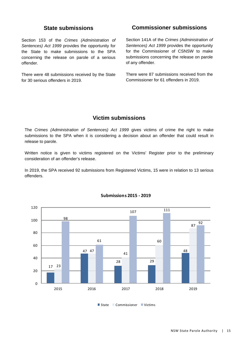#### **State submissions**

Section 153 of the *Crimes (Administration of Sentences) Act 1999* provides the opportunity for the State to make submissions to the SPA concerning the release on parole of a serious offender.

There were 48 submissions received by the State for 30 serious offenders in 2019.

#### **Commissioner submissions**

Section 141A of the *Crimes (Administration of Sentences) Act 1999* provides the opportunity for the Commissioner of CSNSW to make submissions concerning the release on parole of any offender.

There were 87 submissions received from the Commissioner for 61 offenders in 2019.

#### **Victim submissions**

The *Crimes (Administration of Sentences) Act 1999* gives victims of crime the right to make submissions to the SPA when it is considering a decision about an offender that could result in release to parole.

Written notice is given to victims registered on the Victims' Register prior to the preliminary consideration of an offender's release.

In 2019, the SPA received 92 submissions from Registered Victims, 15 were in relation to 13 serious offenders.



#### **Submissions 2015 ‐ 2019**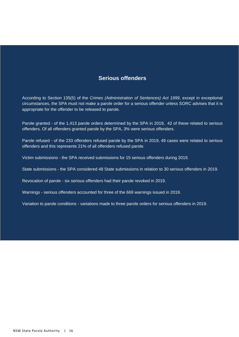#### **Serious offenders**

According to Section 135(5) of the *Crimes (Administration of Sentences) Act 1999*, except in exceptional circumstances, the SPA must not make a parole order for a serious offender unless SORC advises that it is appropriate for the offender to be released to parole.

Parole granted - of the 1,413 parole orders determined by the SPA in 2019, 42 of these related to serious offenders. Of all offenders granted parole by the SPA, 3% were serious offenders.

Parole refused - of the 233 offenders refused parole by the SPA in 2019, 49 cases were related to serious offenders and this represents 21% of all offenders refused parole.

Victim submissions - the SPA received submissions for 15 serious offenders during 2019.

State submissions - the SPA considered 48 State submissions in relation to 30 serious offenders in 2019.

Revocation of parole - six serious offenders had their parole revoked in 2019.

Warnings - serious offenders accounted for three of the 669 warnings issued in 2019.

Variation to parole conditions - variations made to three parole orders for serious offenders in 2019.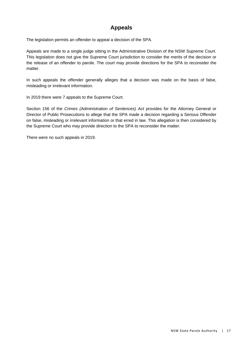#### **Appeals**

The legislation permits an offender to appeal a decision of the SPA.

Appeals are made to a single judge sitting in the Administrative Division of the NSW Supreme Court. This legislation does not give the Supreme Court jurisdiction to consider the merits of the decision or the release of an offender to parole. The court may provide directions for the SPA to reconsider the matter.

In such appeals the offender generally alleges that a decision was made on the basis of false, misleading or irrelevant information.

In 2019 there were 7 appeals to the Supreme Court.

Section 156 of the *Crimes (Administration of Sentences) Act* provides for the Attorney General or Director of Public Prosecutions to allege that the SPA made a decision regarding a Serious Offender on false, misleading or irrelevant information or that erred in law. This allegation is then considered by the Supreme Court who may provide direction to the SPA to reconsider the matter.

There were no such appeals in 2019.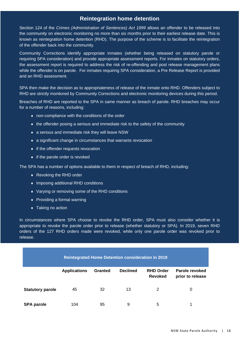#### **Reintegration home detention**

Section 124 of the *Crimes (Administration of Sentences) Act 1999* allows an offender to be released into the community on electronic monitoring no more than six months prior to their earliest release date. This is known as reintegration home detention (RHD). The purpose of the scheme is to facilitate the reintegration of the offender back into the community.

Community Corrections identify appropriate inmates (whether being released on statutory parole or requiring SPA consideration) and provide appropriate assessment reports. For inmates on statutory orders, the assessment report is required to address the risk of re-offending and post release management plans while the offender is on parole. For inmates requiring SPA consideration, a Pre Release Report is provided and an RHD assessment.

SPA then make the decision as to appropriateness of release of the inmate onto RHD. Offenders subject to RHD are strictly monitored by Community Corrections and electronic monitoring devices during this period.

Breaches of RHD are reported to the SPA in same manner as breach of parole. RHD breaches may occur for a number of reasons, including:

- non-compliance with the conditions of the order
- $\bullet$  the offender posing a serious and immediate risk to the safety of the community
- a serious and immediate risk they will leave NSW
- a significant change in circumstances that warrants revocation
- $\bullet$  if the offender requests revocation
- $\bullet$  if the parole order is revoked

The SPA has a number of options available to them in respect of breach of RHD, including:

- ◆ Revoking the RHD order
- ◆ Imposing additional RHD conditions
- Varying or removing some of the RHD conditions
- Providing a formal warning
- ◆ Taking no action

In circumstances where SPA choose to revoke the RHD order, SPA must also consider whether it is appropriate to revoke the parole order prior to release (whether statutory or SPA). In 2019, seven RHD orders of the 127 RHD orders made were revoked, while only one parole order was revoked prior to release.

| <b>Reintegrated Home Detention consideration in 2019</b> |                     |                |                 |                                    |                                    |
|----------------------------------------------------------|---------------------|----------------|-----------------|------------------------------------|------------------------------------|
|                                                          | <b>Applications</b> | <b>Granted</b> | <b>Declined</b> | <b>RHD Order</b><br><b>Revoked</b> | Parole revoked<br>prior to release |
| <b>Statutory parole</b>                                  | 45                  | 32             | 13              | 2                                  | 0                                  |
| <b>SPA parole</b>                                        | 104                 | 95             | 9               | 5                                  |                                    |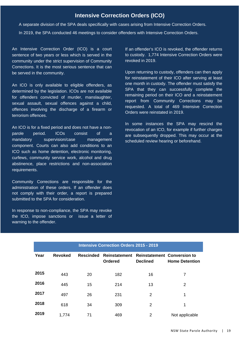#### **Intensive Correction Orders (ICO)**

A separate division of the SPA deals specifically with cases arising from Intensive Correction Orders.

In 2019, the SPA conducted 46 meetings to consider offenders with Intensive Correction Orders.

An Intensive Correction Order (ICO) is a court sentence of two years or less which is served in the community under the strict supervision of Community Corrections. It is the most serious sentence that can be served in the community.

An ICO is only available to eligible offenders, as determined by the legislation. ICOs are not available for offenders convicted of murder, manslaughter, sexual assault, sexual offences against a child, offences involving the discharge of a firearm or terrorism offences.

An ICO is for a fixed period and does not have a nonparole period. ICOs consist of a mandatory supervision/case management component. Courts can also add conditions to an ICO such as home detention, electronic monitoring, curfews, community service work, alcohol and drug abstinence, place restrictions and non-association requirements.

Community Corrections are responsible for the administration of these orders. If an offender does not comply with their order, a report is prepared submitted to the SPA for consideration.

In response to non-compliance, the SPA may revoke the ICO, impose sanctions or issue a letter of warning to the offender.

If an offender's ICO is revoked, the offender returns to custody. 1,774 Intensive Correction Orders were revoked in 2019.

Upon returning to custody, offenders can then apply for reinstatement of their ICO after serving at least one month in custody. The offender must satisfy the SPA that they can successfully complete the remaining period on their ICO and a reinstatement report from Community Corrections may be requested. A total of 469 Intensive Correction Orders were reinstated in 2019.

In some instances the SPA may rescind the revocation of an ICO, for example if further charges are subsequently dropped. This may occur at the scheduled review hearing or beforehand.

| <b>Intensive Correction Orders 2015 - 2019</b> |                |                  |                                        |                                                       |                       |  |
|------------------------------------------------|----------------|------------------|----------------------------------------|-------------------------------------------------------|-----------------------|--|
| Year                                           | <b>Revoked</b> | <b>Rescinded</b> | <b>Reinstatement</b><br><b>Ordered</b> | <b>Reinstatement Conversion to</b><br><b>Declined</b> | <b>Home Detention</b> |  |
| 2015                                           | 443            | 20               | 182                                    | 16                                                    | 7                     |  |
| 2016                                           | 445            | 15               | 214                                    | 13                                                    | 2                     |  |
| 2017                                           | 497            | 26               | 231                                    | 2                                                     | 1                     |  |
| 2018                                           | 618            | 34               | 309                                    | 2                                                     | 1                     |  |
| 2019                                           | 1,774          | 71               | 469                                    | 2                                                     | Not applicable        |  |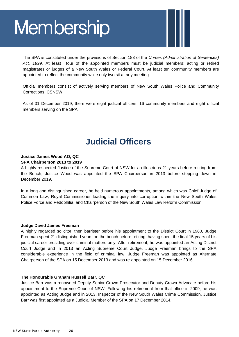# **Membership**

The SPA is constituted under the provisions of Section 183 of the *Crimes (Administration of Sentences) Act, 1999.* At least four of the appointed members must be judicial members; acting or retired magistrates or judges of a New South Wales or Federal Court. At least ten community members are appointed to reflect the community while only two sit at any meeting.

Official members consist of actively serving members of New South Wales Police and Community Corrections, CSNSW.

As of 31 December 2019, there were eight judicial officers, 16 community members and eight official members serving on the SPA.

## **Judicial Officers**

#### **Justice James Wood AO, QC SPA Chairperson 2013 to 2019**

A highly respected Justice of the Supreme Court of NSW for an illustrious 21 years before retiring from the Bench, Justice Wood was appointed the SPA Chairperson in 2013 before stepping down in December 2019.

In a long and distinguished career, he held numerous appointments, among which was Chief Judge of Common Law, Royal Commissioner leading the inquiry into corruption within the New South Wales Police Force and Pedophilia; and Chairperson of the New South Wales Law Reform Commission.

#### **Judge David James Freeman**

A highly regarded solicitor, then barrister before his appointment to the District Court in 1980, Judge Freeman spent 21 distinguished years on the bench before retiring, having spent the final 15 years of his judicial career presiding over criminal matters only. After retirement, he was appointed an Acting District Court Judge and in 2013 an Acting Supreme Court Judge. Judge Freeman brings to the SPA considerable experience in the field of criminal law. Judge Freeman was appointed as Alternate Chairperson of the SPA on 15 December 2013 and was re-appointed on 15 December 2016.

#### **The Honourable Graham Russell Barr, QC**

Justice Barr was a renowned Deputy Senior Crown Prosecutor and Deputy Crown Advocate before his appointment to the Supreme Court of NSW. Following his retirement from that office in 2009, he was appointed as Acting Judge and in 2013, Inspector of the New South Wales Crime Commission. Justice Barr was first appointed as a Judicial Member of the SPA on 17 December 2014.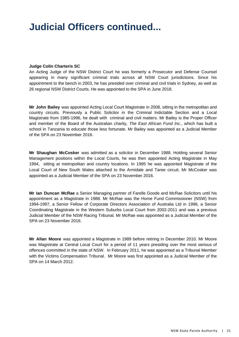## **Judicial Officers continued...**

#### **Judge Colin Charteris SC**

An Acting Judge of the NSW District Court he was formerly a Prosecutor and Defense Counsel appearing in many significant criminal trials across all NSW Court jurisdictions. Since his appointment to the bench in 2003, he has presided over criminal and civil trials in Sydney, as well as 26 regional NSW District Courts. He was appointed to the SPA in June 2018.

**Mr John Bailey** was appointed Acting Local Court Magistrate in 2008, sitting in the metropolitan and country circuits. Previously a Public Solicitor in the Criminal Indictable Section and a Local Magistrate from 1985-1996, he dealt with criminal and civil matters. Mr Bailey is the Proper Officer and member of the Board of the Australian charity, *The East African Fund Inc*., which has built a school in Tanzania to educate those less fortunate. Mr Bailey was appointed as a Judicial Member of the SPA on 23 November 2016.

**Mr Shaughan McCosker** was admitted as a solicitor in December 1988. Holding several Senior Management positions within the Local Courts, he was then appointed Acting Magistrate in May 1994, sitting at metropolitan and country locations. In 1995 he was appointed Magistrate of the Local Court of New South Wales attached to the Armidale and Taree circuit. Mr McCosker was appointed as a Judicial Member of the SPA on 23 November 2016.

**Mr Ian Duncan McRae** a Senior Managing partner of Farelle Goode and McRae Solicitors until his appointment as a Magistrate in 1988. Mr McRae was the Home Fund Commissioner (NSW) from 1994-1997, a Senior Fellow of Corporate Directors Association of Australia Ltd in 1996, a Senior Coordinating Magistrate in the Western Suburbs Local Court from 2002-2011 and was a previous Judicial Member of the NSW Racing Tribunal. Mr McRae was appointed as a Judicial Member of the SPA on 23 November 2016.

**Mr Allan Moore** was appointed a Magistrate in 1989 before retiring in December 2010. Mr Moore was Magistrate at Central Local Court for a period of 11 years presiding over the most serious of offences committed in the state of NSW. In February 2011, he was appointed as a Tribunal Member with the Victims Compensation Tribunal. Mr Moore was first appointed as a Judicial Member of the SPA on 14 March 2012.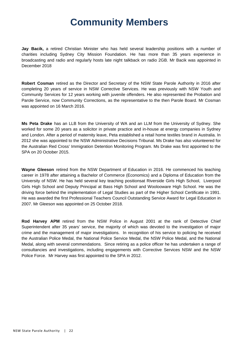## **Community Members**

**Jay Bacik,** a retired Christian Minister who has held several leadership positions with a number of charities including Sydney City Mission Foundation. He has more than 35 years experience in broadcasting and radio and regularly hosts late night talkback on radio 2GB. Mr Bacik was appointed in December 2018

**Robert Cosman** retired as the Director and Secretary of the NSW State Parole Authority in 2016 after completing 20 years of service in NSW Corrective Services. He was previously with NSW Youth and Community Services for 12 years working with juvenile offenders. He also represented the Probation and Parole Service, now Community Corrections, as the representative to the then Parole Board. Mr Cosman was appointed on 16 March 2016.

**Ms Peta Drake** has an LLB from the University of WA and an LLM from the University of Sydney. She worked for some 20 years as a solicitor in private practice and in-house at energy companies in Sydney and London. After a period of maternity leave, Peta established a retail home textiles brand in Australia. In 2012 she was appointed to the NSW Administrative Decisions Tribunal. Ms Drake has also volunteered for the Australian Red Cross' Immigration Detention Monitoring Program. Ms Drake was first appointed to the SPA on 20 October 2015.

**Wayne Gleeson** retired from the NSW Department of Education in 2016. He commenced his teaching career in 1978 after attaining a Bachelor of Commerce (Economics) and a Diploma of Education from the University of NSW. He has held several key teaching positionsat Riverside Girls High School, Liverpool Girls High School and Deputy Principal at Bass High School and Woolooware High School. He was the driving force behind the implementation of Legal Studies as part of the Higher School Certificate in 1991. He was awarded the first Professional Teachers Council Outstanding Service Award for Legal Education in 2007. Mr Gleeson was appointed on 25 October 2018.

**Rod Harvey APM** retired from the NSW Police in August 2001 at the rank of Detective Chief Superintendent after 35 years' service, the majority of which was devoted to the investigation of major crime and the management of major investigations. In recognition of his service to policing he received the Australian Police Medal, the National Police Service Medal, the NSW Police Medal, and the National Medal, along with several commendations. Since retiring as a police officer he has undertaken a range of consultancies and investigations, including engagements with Corrective Services NSW and the NSW Police Force. Mr Harvey was first appointed to the SPA in 2012.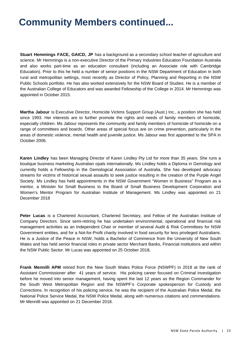# **Community Members continued...**

**Stuart Hemmings FACE, GAICD, JP** has a background as a secondary school teacher of agriculture and science. Mr Hemmings is a non-executive Director of the Primary Industries Education Foundation Australia and also works part-time as an education consultant (including an Associate role with Cambridge Education). Prior to this he held a number of senior positions in the NSW Department of Education in both rural and metropolitan settings, most recently as Director of Policy, Planning and Reporting in the NSW Public Schools portfolio. He has also worked extensively for the NSW Board of Studies. He is a member of the Australian College of Educators and was awarded Fellowship of the College in 2014. Mr Hemmings was appointed in October 2015.

**Martha Jabour** is Executive Director, Homicide Victims Support Group (Aust.) Inc., a position she has held since 1993. Her interests are to further promote the rights and needs of family members of homicide, especially children. Ms Jabour represents the community and family members of homicide of homicide on a range of committees and boards. Other areas of special focus are on crime prevention, particularly in the areas of domestic violence, mental health and juvenile justice. Ms Jabour was first appointed to the SPA in October 2006.

**Karen Lindley** has been Managing Director of Karen Lindley Pty Ltd for more than 35 years. She runs a boutique business marketing Australian opals internationally. Ms Lindley holds a Diploma in Gemology and currently holds a Fellowship in the Gemological Association of Australia. She has developed advocacy streams for victims of historical sexual assaults to seek justice resulting in the creation of the Purple Angel Society. Ms Lindley has held appointments in the NSW Government "Women in Business" Program as a mentor, a Minister for Small Business to the Board of Small Business Development Corporation and Women's Mentor Program for Australian Institute of Management. Ms Lindley was appointed on 21 December 2018

**Peter Lucas** is a Chartered Accountant, Chartered Secretary, and Fellow of the Australian Institute of Company Directors. Since semi-retiring he has undertaken environmental, operational and financial risk management activities as an Independent Chair or member of several Audit & Risk Committees for NSW Government entities, and for a Not-for-Profit charity involved in food security for less privileged Australians. He is a Justice of the Peace in NSW, holds a Bachelor of Commence from the University of New South Wales and has held senior financial roles in private sector Merchant Banks, Financial institutions and within the NSW Public Sector. Mr Lucas was appointed on 25 October 2018**.** 

**Frank Mennilli APM** retired from the New South Wales Police Force (NSWPF) in 2018 at the rank of Assistant Commissioner after 41 years of service. His policing career focused on Criminal investigation before he moved into senior management, having spent the last 12 years as the Region Commander for the South West Metropolitan Region and the NSWPF's Corporate spokesperson for Custody and Corrections. In recognition of his policing service, he was the recipient of the Australian Police Medal, the National Police Service Medal, the NSW Police Medal, along with numerous citations and commendations. Mr Mennilli was appointed on 21 December 2018.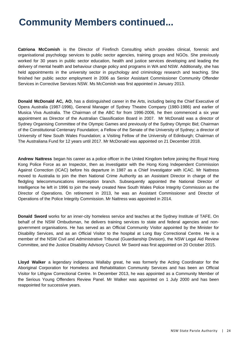# **Community Members continued...**

**Catriona McComish** is the Director of Firefinch Consulting which provides clinical, forensic and organisational psychology services to public sector agencies, training groups and NGOs. She previously worked for 30 years in public sector education, health and justice services developing and leading the delivery of mental health and behaviour change policy and programs in WA and NSW. Additionally, she has held appointments in the university sector in psychology and criminology research and teaching. She finished her public sector employment in 2006 as Senior Assistant Commissioner Community Offender Services in Corrective Services NSW. Ms McComish was first appointed in January 2013.

**Donald McDonald AC, AO**, has a distinguished career in the Arts, including being the Chief Executive of Opera Australia (1987-1996), General Manager of Sydney Theatre Company (1980-1986) and earlier of Musica Viva Australia. The Chairman of the ABC for from 1996-2006, he then commenced a six year appointment as Director of the Australian Classification Board in 2007. Mr McDonald was a director of Sydney Organising Committee of the Olympic Games and previously of the Sydney Olympic Bid; Chairman of the Constitutional Centenary Foundation; a Fellow of the Senate of the University of Sydney; a director of University of New South Wales Foundation; a Visiting Fellow of the University of Edinburgh; Chairman of The Australiana Fund for 12 years until 2017. Mr McDonald was appointed on 21 December 2018.

**Andrew Nattress** began his career as a police officer in the United Kingdom before joining the Royal Hong Kong Police Force as an Inspector, then as investigator with the Hong Kong Independent Commission Against Correction (ICAC) before his departure in 1987 as a Chief Investigator with ICAC. Mr Nattress moved to Australia to join the then National Crime Authority as an Assistant Director in charge of the fledgling telecommunications interception branch. Subsequently appointed the National Director of Intelligence he left in 1996 to join the newly created New South Wales Police Integrity Commission as the Director of Operations. On retirement in 2013, he was an Assistant Commissioner and Director of Operations of the Police Integrity Commission. Mr Nattress was appointed in 2014.

**Donald Sword** works for an inner-city homeless service and teaches at the Sydney Institute of TAFE. On behalf of the NSW Ombudsman, he delivers training services to state and federal agencies and nongovernment organisations. He has served as an Official Community Visitor appointed by the Minister for Disability Services, and as an Official Visitor to the hospital at Long Bay Correctional Centre. He is a member of the NSW Civil and Administrative Tribunal (Guardianship Division), the NSW Legal Aid Review Committee, and the Justice Disability Advisory Council. Mr Sword was first appointed on 20 October 2015.

**Lloyd Walker** a legendary indigenous Wallaby great, he was formerly the Acting Coordinator for the Aboriginal Corporation for Homeless and Rehabilitation Community Services and has been an Official Visitor for Lithgow Correctional Centre. In December 2013, he was appointed as a Community Member of the Serious Young Offenders Review Panel. Mr Walker was appointed on 1 July 2000 and has been reappointed for successive years.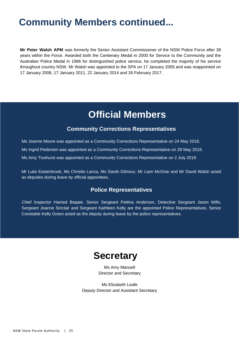# **Community Members continued...**

**Mr Peter Walsh APM** was formerly the Senior Assistant Commissioner of the NSW Police Force after 38 years within the Force. Awarded both the Centenary Medal in 2000 for Service to the Community and the Australian Police Medal in 1996 for distinguished police service, he completed the majority of his service throughout country NSW. Mr Walsh was appointed to the SPA on 17 January 2005 and was reappointed on 17 January 2008, 17 January 2011, 22 January 2014 and 26 February 2017.

## **Official Members**

#### **Community Corrections Representatives**

Ms Joanne Moore was appointed as a Community Corrections Representative on 24 May 2018.

Ms Ingrid Pedersen was appointed as a Community Corrections Representative on 28 May 2018.

Ms Amy Ticehurst was appointed as a Community Corrections Representative on 2 July 2018

Mr Luke Easterbrook, Ms Christie Lanza, Ms Sarah Gilmour, Mr Liam McOnie and Mr David Walsh acted as deputies during leave by official appointees.

#### **Police Representatives**

Chief Inspector Hamed Baqaie. Senior Sergeant Pettina Anderson, Detective Sergeant Jason Wills, Sergeant Joanne Sinclair and Sergeant Kathleen Kelly are the appointed Police Representatives. Senior Constable Kelly Green acted as the deputy during leave by the police representatives.

## **Secretary**

Ms Amy Manuell Director and Secretary

Ms Elizabeth Leafe Deputy Director and Assistant Secretary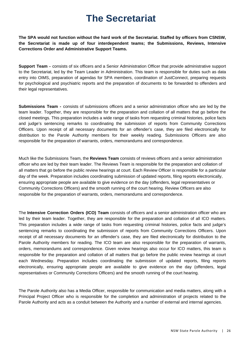## **The Secretariat**

**The SPA would not function without the hard work of the Secretariat. Staffed by officers from CSNSW, the Secretariat is made up of four interdependent teams; the Submissions, Reviews, Intensive Corrections Order and Administrative Support Teams.** 

**Support Team -** consists of six officers and a Senior Administration Officer that provide administrative support to the Secretariat, led by the Team Leader in Administration. This team is responsible for duties such as data entry into OIMS, preparation of agendas for SPA members, coordination of JustConnect, preparing requests for psychological and psychiatric reports and the preparation of documents to be forwarded to offenders and their legal representatives.

**Submissions Team -** consists of submissions officers and a senior administration officer who are led by the team leader. Together, they are responsible for the preparation and collation of all matters that go before the closed meetings. This preparation includes a wide range of tasks from requesting criminal histories, police facts and judge's sentencing remarks to coordinating the submission of reports from Community Corrections Officers. Upon receipt of all necessary documents for an offender's case, they are filed electronically for distribution to the Parole Authority members for their weekly reading. Submissions Officers are also responsible for the preparation of warrants, orders, memorandums and correspondence.

Much like the Submissions Team, the **Reviews Team** consists of reviews officers and a senior administration officer who are led by their team leader. The Reviews Team is responsible for the preparation and collation of all matters that go before the public review hearings at court. Each Review Officer is responsible for a particular day of the week. Preparation includes coordinating submission of updated reports, filing reports electronically, ensuring appropriate people are available to give evidence on the day (offenders, legal representatives or Community Corrections Officers) and the smooth running of the court hearing. Review Officers are also responsible for the preparation of warrants, orders, memorandums and correspondence.

The **Intensive Correction Orders (ICO) Team** consists of officers and a senior administration officer who are led by their team leader. Together, they are responsible for the preparation and collation of all ICO matters. This preparation includes a wide range of tasks from requesting criminal histories, police facts and judge's sentencing remarks to coordinating the submission of reports from Community Corrections Officers. Upon receipt of all necessary documents for an offender's case, they are filed electronically for distribution to the Parole Authority members for reading. The ICO team are also responsible for the preparation of warrants, orders, memorandums and correspondence. Given review hearings also occur for ICO matters, this team is responsible for the preparation and collation of all matters that go before the public review hearings at court each Wednesday. Preparation includes coordinating the submission of updated reports, filing reports electronically, ensuring appropriate people are available to give evidence on the day (offenders, legal representatives or Community Corrections Officers) and the smooth running of the court hearing.

The Parole Authority also has a Media Officer, responsible for communication and media matters, along with a Principal Project Officer who is responsible for the completion and administration of projects related to the Parole Authority and acts as a conduit between the Authority and a number of external and internal agencies.